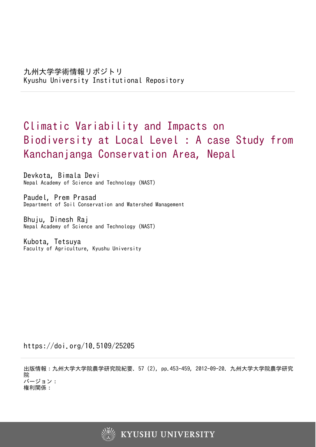# Climatic Variability and Impacts on Biodiversity at Local Level : A case Study from Kanchanjanga Conservation Area, Nepal

Devkota, Bimala Devi Nepal Academy of Science and Technology (NAST)

Paudel, Prem Prasad Department of Soil Conservation and Watershed Management

Bhuju, Dinesh Raj Nepal Academy of Science and Technology (NAST)

Kubota, Tetsuya Faculty of Agriculture, Kyushu University

https://doi.org/10.5109/25205

出版情報:九州大学大学院農学研究院紀要. 57 (2), pp.453-459, 2012-09-20. 九州大学大学院農学研究 院 バージョン: 権利関係:

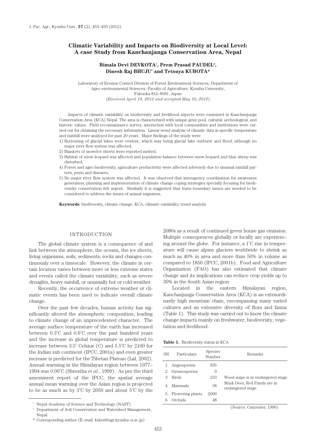## **Climatic Variability and Impacts on Biodiversity at Local Level: A case Study from Kanchanjanga Conservation Area, Nepal**

## Bimala Devi DEVKOTA<sup>1</sup>, Prem Prasad PAUDEL<sup>2</sup>, **Dinesh Raj BHUJU1 and Tetsuya KUBOTA\***

Laboratory of Erosion Control Division of Forest Environment Sciences, Department of Agro–environmental Sciences, Faculty of Agriculture, Kyushu University, Fukuoka 812–8581, Japan (*Received April 18, 2012 and accepted May 10, 2012*)

Impacts of climatic variability on biodiversity and livelihood aspects were examined in Kanchanjunga Conservation Area (KCA) Nepal .The area is characterized with unique gene pool, cultural, archeological, and historic values. Field reconnaissance survey, interaction with local communities and institutions were carried out for obtaining the necessary information. Linear trend analysis of climatic data in specific temperature and rainfall were analyzed for past 20 years. Major findings of the study were

- 1) Retreating of glacial lakes were evident, which may bring glacial lake outburst and flood; although no major river flow system was affected,
- 2) Blankets of snow/ice sheets were reported melted,
- 3) Habitat of snow leopard was affected and population balance between snow leopard and blue sheep was disturbed,
- 4) Forest and agro biodiversity, agriculture productivity were affected adversely due to unusual rainfall pattern, pests and diseases
- 5) No major river flow system was affected. It was observed that interagency coordination for awareness generation, planning and implementation of climate change coping strategies specially focusing for biodiversity conservation felt urgent. Similarly it is suggested that trans–boundary issues are needed to be considered to address the issues of animal migration.

**Keywords**: biodiversity, climate change, KCA, climatic variability, trend analysis

## INTRODUCTION

The global climate system is a consequence of and link between the atmosphere, the oceans, the ice sheets, living organisms, soils, sediments, rocks and changes continuously over a timescale. However, the climate in certain location varies between more or less extreme states and events called the climate variability, such as severe droughts, heavy rainfall, or unusually hot or cold weather.

Recently, the occurrence of extreme weather or climatic events has been used to indicate overall climate change.

Over the past few decades, human activity has significantly altered the atmospheric composition, leading to climate change of an unprecedented character. The average surface temperature of the earth has increased between 0.3˚C and 0.6˚C over the past hundred years and the increase in global temperature is predicted to increase between 3.5˚ Celsius (C) and 5.5˚C by 2100 for the Indian sub continent (IPCC, 2001a) and even greater increase is predicted for the Tibetan Plateau (Lal, 2002). Annual warming in the Himalayan region between 1977– 1994 was 0.06˚C (Shrestha *et al*., 1999). As per the third assessment report of the IPCC, the spatial average annual mean warming over the Asian region is projected to be as much as by 3˚C by 2050 and about 5˚C by the

2080s as a result of continued green house gas emission. Multiple consequences globally or locally are experiencing around the globe. For instance, a 1˚C rise in temperature will cause alpine glaciers worldwide to shrink as much as 40% in area and more than 50% in volume as compared to 1850 (IPCC, 2001b). Food and Agriculture Organization (FAO) has also estimated that climate change and its implications can reduce crop yields up to 30% in the South Asian region.

Located in the eastern Himalayan region, Kanchanjunga Conservation Area (KCA) is an extraordinarily high mountain chain, encompassing many varied cultures and an extensive diversity of flora and fauna (Table 1). This study was carried out to know the climate change impacts mainly on freshwater, biodiversity, vegetation and livelihood.

|  | <b>Table 1.</b> Biodiversity status in KCA |  |  |
|--|--------------------------------------------|--|--|
|--|--------------------------------------------|--|--|

| SN | Particulars      | Species<br>Number | Remarks                                         |
|----|------------------|-------------------|-------------------------------------------------|
|    | Angiosperms      | 835               |                                                 |
| 2  | Gymnosperms      | 9                 |                                                 |
| З  | <b>Birds</b>     | 253               | Wood snipe is in endangered stage               |
|    | Mammals          | 58                | Musk Deer, Red Panda are in<br>endangered stage |
| 5. | Flowering plants | 2000              |                                                 |
| 6  | Orchids          | 48                |                                                 |
|    |                  |                   |                                                 |

(Source: Carpenter, 1996)

<sup>&</sup>lt;sup>1</sup> Nepal Academy of Science and Technology (NAST)

<sup>&</sup>lt;sup>2</sup> Department of Soil Conservation and Watershed Management, Nepal

<sup>\*</sup> Corresponding author (E–mail: kubot@agr.kyushu–u.ac.jp)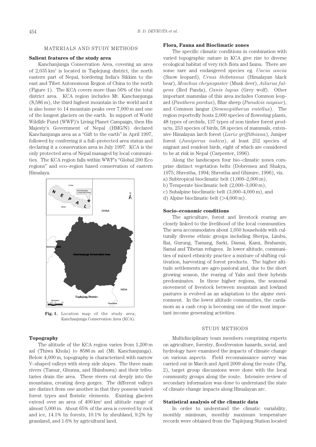#### MATERIALS AND STUDY METHODS

## **Salient features of the study area**

Kanchanjunga Conservation Area, covering an area of 2,035 km2 is located in Taplejung district, the north eastern part of Nepal, bordering India's Sikkim to the east and Tibet Autonomous Region of China to the north (Figure 1). The KCA covers more than 56% of the total district area. KCA region includes Mt. Kanchanjunga (8,586 m), the third highest mountain in the world and it is also home to 14 mountain peaks over 7,000 m and one of the longest glaciers on the earth. In support of World Wildlife Fund (WWF)'s Living Planet Campaign, then His Majesty's Government of Nepal (HMG/N) declared Kanchanjunga area as a "Gift to the earth" in April 1997, followed by conferring it a full–protected area status and declaring it a conservation area in July 1997. KCA is the only protected area of Nepal managed by local communities. The KCA region falls within WWF's "Global 200 Eco regions" and eco–region based conservation of eastern Himalaya.



**Fig. 1.** Location map of the study area, Kanchanjunga Conservation Area (KCA).

## **Topography**

The altitude of the KCA region varies from 1,200 m asl (Thiwa Khola) to 8586 m asl (Mt. Kanchanjunga). Below 4,000 m, topography is characterized with narrow V–shaped valleys with steep side slopes. The three main rivers (Tamur, Ghunsa, and Shimbuwa) and their tributaries drain the area. These rivers cut deeply into the mountains, creating deep gorges. The different valleys are distinct from one another in that they possess varied forest types and floristic elements. Existing glaciers extend over an area of  $400 \mathrm{km^2}$  and altitude range of almost 5,000 m. About 65% of the area is covered by rock and ice, 14.1% by forests, 10.1% by shrubland, 9.2% by grassland, and 1.6% by agricultural land.

## **Flora, Fauna and Bioclimatic zones**

The specific climatic conditions in combination with varied topographic nature in KCA give rise to diverse ecological habitat of very rich flora and fauna. There are some rare and endangered species eg. *Uncia uncia*  (Snow leopard), *Ursus thibetanus* (Himalayan black bear), *Moschus chrysogaster* (Musk deer), *Ailurus fulgens* (Red Panda), *Canis lupus* (Grey wolf). Other important mammlas of this area includes Common leopard (*Panthera pardus*), Blue sheep (*Pseudois nayaur*), and Common langur (*Semnopithecus entellus*). The region reportedly hosts 2,000 species of flowering plants, 48 types of orchids, 137 types of non timber forest products, 253 species of birds, 58 species of mammals, extensive Himalayan larch forest (*Larix griffithiana*), Juniper forest (*Juniperus indica*), at least 252 species of migrant and resident birds, eight of which are considered to be at risk in Nepal (Carpenter, 1996).

Along the landscapes four bio–climatic zones comprise distinct vegetation belts (Dobremez and Shakya, 1975; Shrestha, 1994; Shrestha and Ghimire, 1996), viz.

- a) Subtropical bioclimatic belt (1,000–2,000 m),
- b) Temperate bioclimatic belt (2,000–3,000 m),
- c) Subalpine bioclimatic belt (3,000–4,000 m), and
- d) Alpine bioclimatic belt (>4,000 m).

#### **Socio–economic conditions**

The agriculture, forest and livestock rearing are closely linked to the livelihood of the local communities. The area accommodates about 1,050 households with culturally diverse ethnic groups including Sherpa, Limbu, Rai, Gurung, Tamang, Sarki, Damai, Kami, Brahamin, Samal and Tibetan refugees. In lower altitude, communities of mixed ethnicity practice a mixture of shifting cultivation, harvesting of forest products. The higher altitude settlements are agro pastoral and, due to the short growing season, the rearing of Yaks and their hybrids predominates. In these higher regions, the seasonal movement of livestock between mountain and lowland pastures is evolved as an adaptation to the alpine environment. In the lower altitude communities, the cardamom as a cash crop is becoming one of the most important income generating activities.

## STUDY METHODS

Multidisciplinary team members comprising experts on agriculture, forestry, flood/erosion hazards, social, and hydrology have examined the impacts of climate change on various aspects. Field reconnaissance survey was carried out in March and April 2009 along the route (Fig. 2), target group discussions were done with the local community groups along the route. Intensive review of secondary information was done to understand the state of climate change impacts along Himalayan arc.

#### **Statistical analysis of the climatic data**

In order to understand the climatic variability, monthly minimum, monthly maximum temperature records were obtained from the Taplejung Station located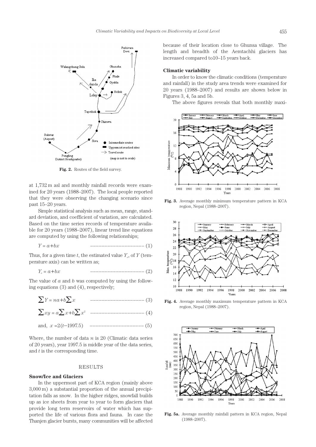

Fig. 2. Routes of the field survey.

at 1,732 m asl and monthly rainfall records were examined for 20 years (1988–2007). The local people reported that they were observing the changing scenario since past 15–20 years.

Simple statistical analysis such as mean, range, standard deviation, and coefficient of variation, are calculated. Based on the time series records of temperature available for 20 years (1988–2007), linear trend line equations are computed by using the following relationships;

$$
Y = a + bx
$$

Thus, for a given time  $t$ , the estimated value  $Y_e$ , of  $Y$  (temperature axis) can be written as;

$$
Y_e = a + bx \t\t\t---\t\t---\t(2)
$$

The value of *a* and *b* was computed by using the following equations (3) and (4), respectively;

Σ*Y* = *na*+*b*Σ*x* ––––––––––––––––––– (3)

$$
\sum xy = a \sum x + b \sum x^{2}
$$
 ----
$$
x = 2(t-1997.5)
$$
 ----
$$
x = 2(t-1997.5)
$$
 ----
$$
x = 2(t-1997.5)
$$

Where, the number of data *n* is 20 (Climatic data series of 20 years), year 1997.5 is middle year of the data series, and *t* is the corresponding time.

#### RESULTS

## **Snow/Ice and Glaciers**

In the uppermost part of KCA region (mainly above 3,000 m) a substantial proportion of the annual precipitation falls as snow. In the higher ridges, snowfall builds up as ice sheets from year to year to form glaciers that provide long term reservoirs of water which has supported the life of various flora and fauna. In case the Thanjen glacier bursts, many communities will be affected because of their location close to Ghunsa village. The length and breadth of the Aemtachhi glaciers has increased compared to10–15 years back.

#### **Climatic variability**

In order to know the climatic conditions (temperature and rainfall) in the study area trends were examined for 20 years (1988–2007) and results are shown below in Figures 3, 4, 5a and 5b.

The above figures reveals that both monthly maxi-



**Fig. 3.** Average monthly minimum temperature pattern in KCA region, Nepal (1988–2007).



**Fig. 4.** Average monthly maximum temperature pattern in KCA region, Nepal (1988–2007).



**Fig. 5a.** Average monthly rainfall pattern in KCA region, Nepal (1988–2007).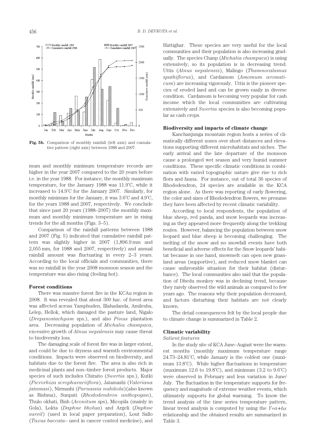

**Fig. 5b.** Comparison of monthly rainfall (left axis) and cumulative pattern (right axis) between 1988 and 2007.

mum and monthly minimum temperature records are higher in the year 2007 compared to the 20 years before i.e. in the year 1988. For instance, the monthly maximum temperature, for the January 1988 was 11.9˚C, while it increased to 14.9˚C for the January 2007. Similarly, for monthly minimum for the January, it was 3.6˚C and 4.9˚C, for the years 1988 and 2007, respectively. We conclude that since past 20 years (1988–2007) the monthly maximum and monthly minimum temperature are in rising trends for the all months (Figs. 3–5).

Comparison of the rainfall patterns between 1988 and 2007 (Fig. 5) indicated that cumulative rainfall pattern was slightly higher in 2007 (1,896.9 mm and 2,055 mm, for 1988 and 2007, respectively) and annual rainfall amount was fluctuating in every 2–3 years. According to the local officials and communities, there was no rainfall in the year 2008 monsoon season and the temperature was also rising (feeling hot).

#### **Forest conditions**

There was massive forest fire in the KCAu region in 2008. It was revealed that about 300 hac. of forest area was affected across Yamphuden, Illahadanda, Amilesha, Lelep, Hellok, which damaged the pasture land, Nigalo (*Drepanostachyum* sps.), and also *Pinus* plantation area. Decreasing population of *Michalia champaca*, excessive growth of *Alnus nepalensis* may cause threat to biodiversity loss.

The damaging scale of forest fire was in larger extent, and could be due to dryness and warmth environmental conditions. Impacts were observed on biodiversity, and habitats due to the forest fire. The area is also rich in medicinal plants and non–timber forest products. Major species of such includes Chiraito (*Swertia* sps.), Kutki (*Picrorhiza scrophurariiflora*), Jatamashi (*Valeriana jatamasi*), Nirmashi (*Parnassia nubikola*)(also known as Bishma), Sunpati (*Rhododendron anthopogan*), Thulo okhati, Bish (*Aconitum* sps), Micopila (mainly in Gola), Lokta (*Daphne bholua*) and Argeli (*Daphne sureil*) (used in local paper preparation), Lout Sallo (*Taxus baccata*– used in cancer control medicine), and Hattighar. These species are very useful for the local communities and their population is also increasing gradually. The species Chanp (*Michalia champaca*) is using extensively, so its population is in decreasing trend. Uttis (*Alnus nepalensis*), Malingo (*Thamnocalamus spathiflorus*), and Cardamom (*Amomum aromaticum*) are increasing vigorously. Uttis is the pioneer species of eroded land and can be grown easily in diverse condition. Cardamom is becoming very popular for cash income which the local communities are cultivating extensively and *Swertia* species is also becoming popular as cash crops.

#### **Biodiversity and impacts of climate change**

Kanchanjunga mountain region hosts a series of climatically different zones over short distances and elevations supporting different microhabitats and niches. The early arrival and the late departure of the monsoon cause a prolonged wet season and very humid summer conditions. These specific climatic conditions in combination with varied topographic nature give rise to rich flora and fauna. For instance, out of total 36 species of Rhododendron, 24 species are available in the KCA region alone. As there was reporting of early flowering, the color and sizes of Rhododendron flowers, we presume they have been affected by recent climatic variability.

According to local respondents, the population of blue sheep, red panda, and snow leopards was increasing as they appeared more frequently along the trekking routes. However, balancing the population between snow leopard and blue sheep is becoming challenging. The melting of the snow and no snowfall events have both beneficial and adverse effects for the Snow leopards' habitat because in one hand, snowmelt can open new grassland areas (supportive), and reduced snow blanket can cause unfavorable situation for their habitat (disturbance). The local communities also said that the population of Dhedu monkey was in declining trend, because they rarely observed the wild animals as compared to few years ago. The reasons why their population decreased, and factors disturbing their habitats are not clearly known.

The detail consequences felt by the local people due to climate change is summarized in Table 2.

#### **Climatic variability**

#### *Salient features*

In the study site of KCA June–August were the warmest months (monthly maximum temperature range 24.73–24.81˚C, while January is the coldest one (maximum 13.8˚C). While higher fluctuations in temperature (maximum 12.6 to 19.8˚C), and minimum (3.2 to 9.6˚C) were observed in February and less variation in June/ July. The fluctuation in the temperature supports for frequency and magnitude of extreme weather events, which ultimately supports for global warming. To know the trend analysis of the time series temperature pattern, linear trend analysis is computed by using the  $Y=a+bx$ relationship and the obtained results are summarized in Table 3.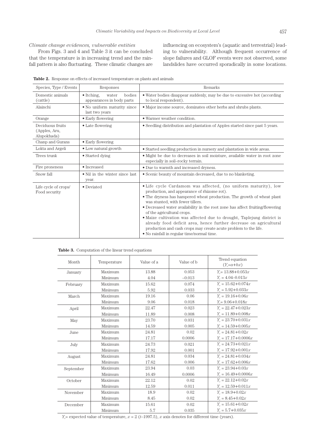## *Climate change evidences, vulnerable entities*

From Figs. 3 and 4 and Table 3 it can be concluded that the temperature is in increasing trend and the rainfall pattern is also fluctuating. These climatic changes are influencing on ecosystem's (aquatic and terrestrial) leading to vulnerability. Although frequent occurrence of slope failures and GLOF events were not observed, some landslides have occurred sporadically in some locations.

| Species, Type / Events                           | Responses                                                          | Remarks                                                                                                                                                                                                                                                                                                                                                                                                                                                                                                                                                                                                    |  |
|--------------------------------------------------|--------------------------------------------------------------------|------------------------------------------------------------------------------------------------------------------------------------------------------------------------------------------------------------------------------------------------------------------------------------------------------------------------------------------------------------------------------------------------------------------------------------------------------------------------------------------------------------------------------------------------------------------------------------------------------------|--|
| Domestic animals<br>(cattle)                     | bodies<br>$\bullet$ Itching,<br>water<br>appearances in body parts | • Water bodies disappear suddenly, may be due to excessive hot (according<br>to local respondent).                                                                                                                                                                                                                                                                                                                                                                                                                                                                                                         |  |
| Alainchi                                         | • No uniform maturity since<br>last two years                      | • Major income source, dominates other herbs and shrubs plants.                                                                                                                                                                                                                                                                                                                                                                                                                                                                                                                                            |  |
| Orange                                           | • Early flowering                                                  | • Warmer weather condition.                                                                                                                                                                                                                                                                                                                                                                                                                                                                                                                                                                                |  |
| Deciduous fruits<br>(Apples, Aru,<br>Alupokhada) | • Late flowering                                                   | • Seedling distribution and plantation of Apples started since past 5 years.                                                                                                                                                                                                                                                                                                                                                                                                                                                                                                                               |  |
| Chanp and Gurans                                 | • Early flowering                                                  |                                                                                                                                                                                                                                                                                                                                                                                                                                                                                                                                                                                                            |  |
| Lokta and Argeli                                 | • Low natural growth                                               | • Started seedling production in nursery and plantation in wide areas.                                                                                                                                                                                                                                                                                                                                                                                                                                                                                                                                     |  |
| Trees trunk                                      | • Started dying                                                    | • Might be due to decreases in soil moisture, available water in root zone<br>especially in soil-rocky terrain.                                                                                                                                                                                                                                                                                                                                                                                                                                                                                            |  |
| Fire proneness                                   | • Increased                                                        | • Due to warmth and increased dryness.                                                                                                                                                                                                                                                                                                                                                                                                                                                                                                                                                                     |  |
| Snow fall                                        | • Nil in the winter since last<br>year.                            | • Scenic beauty of mountain decreased, due to no blanketing.                                                                                                                                                                                                                                                                                                                                                                                                                                                                                                                                               |  |
| Life cycle of crops/<br>Food security            | $\bullet$ Deviated                                                 | • Life cycle Cardamom was affected, (no uniform maturity), low<br>production, and appearance of rhizome rot).<br>• The dryness has hampered wheat production. The growth of wheat plant<br>was stunted, with fewer tillers.<br>• Decreased water availability in the root zone has affect fruiting/flowering<br>of the agricultural crops.<br>• Maize cultivation was affected due to drought, Taplejung district is<br>already food deficit area, hence further decrease on agricultural<br>production and cash crops may create acute problem to the life.<br>• No rainfall in regular time/normal time. |  |

**Table 2.** Response on effects of increased temperature on plants and animals

**Table 3.** Computation of the linear trend equations

| Month     | Temperature | Value of a | Value of b | Trend equation<br>$(Y_e=a+bx)$ |
|-----------|-------------|------------|------------|--------------------------------|
| January   | Maximum     | 13.88      | 0.053      | $Y_e = 13.88 + 0.053x$         |
|           | Minimum     | 4.04       | $-0.013$   | $Y_e = 4.04 - 0.013x$          |
| February  | Maximum     | 15.62      | 0.074      | $Y_e = 15.62 + 0.074x$         |
|           | Minimum     | 5.92       | 0.033      | $Y_e = 5.92 + 0.033x$          |
| March     | Maximum     | 19.16      | 0.06       | $Y_e = 19.16 + 0.06x$          |
|           | Minimum     | 9.06       | 0.018      | $Y_e = 9.06 + 0.018x$          |
| April     | Maximum     | 22.47      | 0.023      | $Y_e = 22.47 + 0.023x$         |
|           | Minimum     | 11.89      | 0.008      | $Y_e = 11.89 + 0.008x$         |
| May       | Maximum     | 23.70      | 0.031      | $Y_e = 23.70 + 0.031x$         |
|           | Minimum     | 14.59      | 0.005      | $Y_e = 14.59 + 0.005x$         |
| June      | Maximum     | 24.81      | 0.02       | $Y_e = 24.81 + 0.02x$          |
|           | Minimum     | 17.17      | 0.0006     | $Y_e = 17.17 + 0.0006x$        |
| July      | Maximum     | 24.73      | 0.021      | $Y_e = 24.73 + 0.021x$         |
|           | Minimum     | 17.92      | 0.001      | $Y_e = 17.92 + 0.001x$         |
| August    | Maximum     | 24.81      | 0.034      | $Y_e = 24.81 + 0.034x$         |
|           | Minimum     | 17.62      | 0.006      | $Y_e = 17.62 + 0.006x$         |
| September | Maximum     | 23.94      | 0.03       | $Y_e = 23.94 + 0.03x$          |
|           | Minimum     | 16.49      | 0.0006     | $Y_e = 16.49 + 0.0006x$        |
| October   | Maximum     | 22.12      | 0.02       | $Y_a = 22.12 + 0.02x$          |
|           | Minimum     | 12.59      | 0.011      | $Y_e = 12.59 + 0.011x$         |
| November  | Maximum     | 18.9       | 0.02       | $Y_e = 18.9 + 0.02x$           |
|           | Minimum     | 8.45       | 0.02       | $Y_e = 8.45 + 0.02x$           |
| December  | Maximum     | 15.61      | 0.02       | $Y_e = 15.61 + 0.02x$          |
|           | Minimum     | 5.7        | 0.035      | $Y_e = 5.7 + 0.035x$           |

 $Y_e$  = expected value of temperature,  $x = 2$  (*t*-1997.5), *x* axis denotes for different time (years).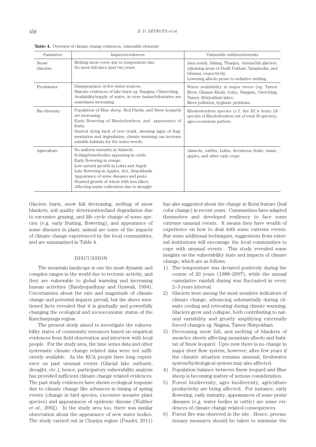| Parameter         | Impacts/evidences                                                                                                                                                                                                                                                                                                                          | Vulnerable entities/elements                                                                                                                                                |
|-------------------|--------------------------------------------------------------------------------------------------------------------------------------------------------------------------------------------------------------------------------------------------------------------------------------------------------------------------------------------|-----------------------------------------------------------------------------------------------------------------------------------------------------------------------------|
| Snow/<br>Glaciers | Melting snow cover due to temperature rise.<br>No snow fall since past two years.                                                                                                                                                                                                                                                          | Janu south, Yalung, Thanjen, Aemtachhi glaciers,<br>adjoining areas of Dudh Pokhari, Yamphudin, and<br>Ghunsa, respectively.<br>Lowering albedo prone to radiative melting. |
| Freshwater        | Disappearance of few water sources,<br>Historic evidences of lake burst eg. Nangma, Chherching,<br>Availability/supply of water, in river basins/tributaries are<br>sometimes increasing.                                                                                                                                                  | Water availability in major rivers (eg. Tamor<br>River, Ghunsa Khola, Gola), Nangma, Cherching,<br>Tamor, Shirpokhari lakes.<br>River pollution, hygienic problems.         |
| Bio-diversity     | Population of Blue sheep, Red Panda, and Snow leopards<br>are increasing.<br>Early flowering of Rhododendron, and appearance of<br>fruits.<br>Started dying back of tree trunk, showing signs of frag-<br>mentation and degradation, climate warming can increase<br>suitable habitats for the water weeds.                                | Rhododendron species (c.f. the KCA hosts 24<br>species of Rhododendron out of total 36 species),<br>agro-ecosystem pattern.                                                 |
| Agriculture       | No uniform maturity in Alainchi.<br>Itching/waterbodies appearing in cattle.<br>Early flowering in orange.<br>Low natural growth in Lokta and Argeli.<br>Late flowering in Apples, Aru, Alupokhada.<br>Appearance of some diseases and pests.<br>Stunted growth of wheat with less tillers.<br>Affecting maize cultivation due to drought. | Alainchi, cattles, Lokta, deciduous fruits, maize,<br>apples, and other cash crops.                                                                                         |

Table 4. Overview of climate change evidences, vulnerable elements

Glaciers burst, snow fall decreasing, melting of snow blankets, soil quality deterioration/land degradation due to excessive grazing, and life cycle change of some species (e.g. early fruiting, flowering), and appearance of some diseases in plant, animal are some of the impacts of climate change experienced by the local communities, and are summarized in Table 4.

## DISCUSSION

The mountain landscape is one the most dynamic and complex ranges in the world due to tectonic activity, and they are vulnerable to global warming and increasing human activities (Bandyopadhyay and Gyawali, 1994). Uncertainties about the rate and magnitude of climate change and potential impacts prevail, but the above mentioned facts revealed that it is gradually and powerfully changing the ecological and socioeconomic status of the Kanchanjunga region.

The present study aimed to investigate the vulnerability states of community resources based on empirical evidences from field observation and interview with local people. For the study area, the time series data and other systematic climate change related data were not sufficiently available. As the KCA people have long experience on past unusual events (Glacial lake outburst, drought, etc.), hence, participatory vulnerability analysis has provided sufficient climate change related evidences. The past study evidences have shown ecological response due to climate change like advances in timing of spring events (change in bird species, excessive invasive plant species) and appearances of epidemic disease (Walther *et al*., 2002). In the study area too, there was similar observation about the appearance of new water bodies. The study carried out in Churiya region (Paudel, 2011)

has also suggested about the change in floral feature (leaf color change) in recent years. Communities have adapted themselves and developed resiliency to face some extreme unusual events. It means they have wealth of experience on how to deal with some extreme events. But some additional techniques, suggestions from external institutions will encourage the local communities to cope with unusual events. This study revealed some insights on the vulnerability state and impacts of climate change, which are as follows.

- 1) The temperature was deviated positively during the course of 20 years (1988–2007), while the annual cumulative rainfall during was fluctuated in every 2–3 years interval.
- 2) Glaciers were among the most sensitive indicators of climate change, advancing substantially during climate cooling and retreating during climate warming. Glaciers grow and collapse, both contributing to natural variability and greatly amplifying externally forced changes eg. Nagma, Tamor Shirpokhari.
- 3) Decreasing snow fall, and melting of blankets of snow/ice sheets affecting mountain albedo and habitat of Snow leopard. Upto now there is no change in major river flow system, however; after few years if the climatic situation remains unusual, freshwater system/hydrological system may also affected.
- 4) Population balance between Snow leopard and Blue sheep is becoming matter of serious consideration.
- 5) Forest biodiversity, agro biodiversity, agriculture productivity are being affected. For instance, early flowering, early maturity, appearances of some pests/ diseases (e.g. water bodies in cattle) are some evidences of climate change related consequences.
- 6) Forest fire was observed in the site. Hence, precautionary measures should be taken to minimize the